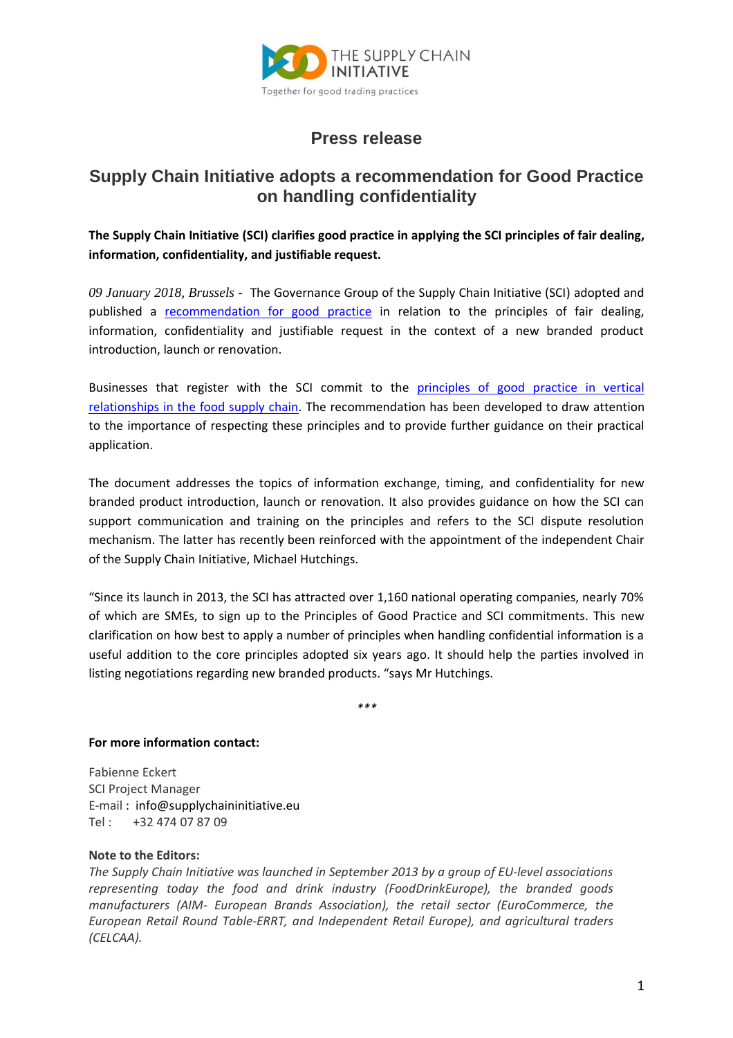

## **Press release**

## **Supply Chain Initiative adopts a recommendation for Good Practice on handling confidentiality**

**The Supply Chain Initiative (SCI) clarifies good practice in applying the SCI principles of fair dealing, information, confidentiality, and justifiable request.**

*09 January 2018, Brussels -* The Governance Group of the Supply Chain Initiative (SCI) adopted and published a recommendation [for good practice](http://supplychaininitiative.eu/recommendation-good-practice-relation-principles-fair-dealing-information-confidentiality-and) in relation to the principles of fair dealing, information, confidentiality and justifiable request in the context of a new branded product introduction, launch or renovation.

Businesses that register with the SCI commit to the [principles of good practice in vertical](http://supplychaininitiative.eu/about-initiative/principles-good-practice-vertical-relationships-food-supply-chain)  [relationships in the food supply chain.](http://supplychaininitiative.eu/about-initiative/principles-good-practice-vertical-relationships-food-supply-chain) The recommendation has been developed to draw attention to the importance of respecting these principles and to provide further guidance on their practical application.

The document addresses the topics of information exchange, timing, and confidentiality for new branded product introduction, launch or renovation. It also provides guidance on how the SCI can support communication and training on the principles and refers to the SCI dispute resolution mechanism. The latter has recently been reinforced with the appointment of the independent Chair of the Supply Chain Initiative, Michael Hutchings.

"Since its launch in 2013, the SCI has attracted over 1,160 national operating companies, nearly 70% of which are SMEs, to sign up to the Principles of Good Practice and SCI commitments. This new clarification on how best to apply a number of principles when handling confidential information is a useful addition to the core principles adopted six years ago. It should help the parties involved in listing negotiations regarding new branded products. "says Mr Hutchings.

*\*\*\**

## **For more information contact:**

Fabienne Eckert SCI Project Manager E-mail : [info@supplychaininitiative.eu](mailto:info@supplychaininitiative.eu) Tel : +32 474 07 87 09

## **Note to the Editors:**

*The Supply Chain Initiative was launched in September 2013 by a group of EU-level associations representing today the food and drink industry (FoodDrinkEurope), the branded goods manufacturers (AIM- European Brands Association), the retail sector (EuroCommerce, the European Retail Round Table-ERRT, and Independent Retail Europe), and agricultural traders (CELCAA).*